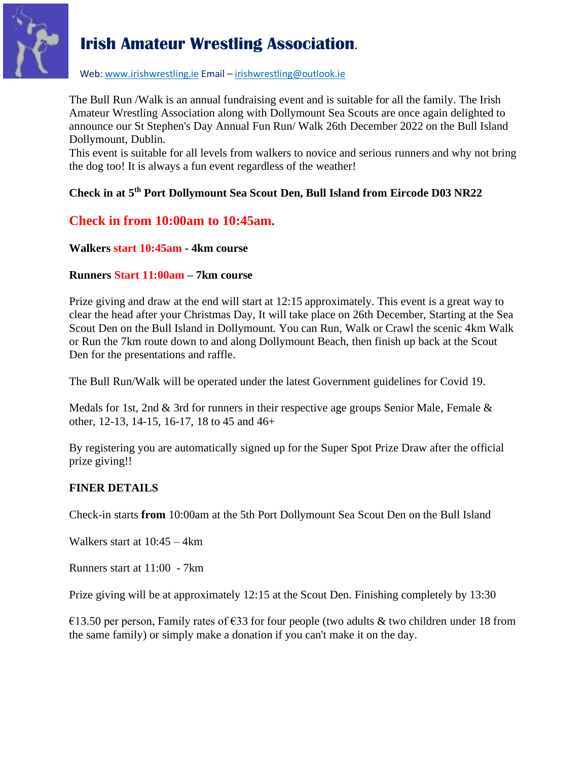

Web[: www.irishwrestling.ie](http://www.irishwrestling.ie/) Email – [irishwrestling@outlook.ie](mailto:irishwrestling@outlook.ie)

The Bull Run /Walk is an annual fundraising event and is suitable for all the family. The Irish Amateur Wrestling Association along with Dollymount Sea Scouts are once again delighted to announce our St Stephen's Day Annual Fun Run/ Walk 26th December 2022 on the Bull Island Dollymount, Dublin.

This event is suitable for all levels from walkers to novice and serious runners and why not bring the dog too! It is always a fun event regardless of the weather!

#### **Check in at 5 th Port Dollymount Sea Scout Den, Bull Island from Eircode D03 NR22**

### **Check in from 10:00am to 10:45am.**

#### **Walkers start 10:45am - 4km course**

#### **Runners Start 11:00am – 7km course**

Prize giving and draw at the end will start at 12:15 approximately. This event is a great way to clear the head after your Christmas Day, It will take place on 26th December, Starting at the Sea Scout Den on the Bull Island in Dollymount. You can Run, Walk or Crawl the scenic 4km Walk or Run the 7km route down to and along Dollymount Beach, then finish up back at the Scout Den for the presentations and raffle.

The Bull Run/Walk will be operated under the latest Government guidelines for Covid 19.

Medals for 1st, 2nd  $\&$  3rd for runners in their respective age groups Senior Male, Female  $\&$ other, 12-13, 14-15, 16-17, 18 to 45 and 46+

By registering you are automatically signed up for the Super Spot Prize Draw after the official prize giving!!

#### **FINER DETAILS**

Check-in starts **from** 10:00am at the 5th Port Dollymount Sea Scout Den on the Bull Island

Walkers start at 10:45 – 4km

Runners start at 11:00 - 7km

Prize giving will be at approximately 12:15 at the Scout Den. Finishing completely by 13:30

€13.50 per person, Family rates of €33 for four people (two adults & two children under 18 from the same family) or simply make a donation if you can't make it on the day.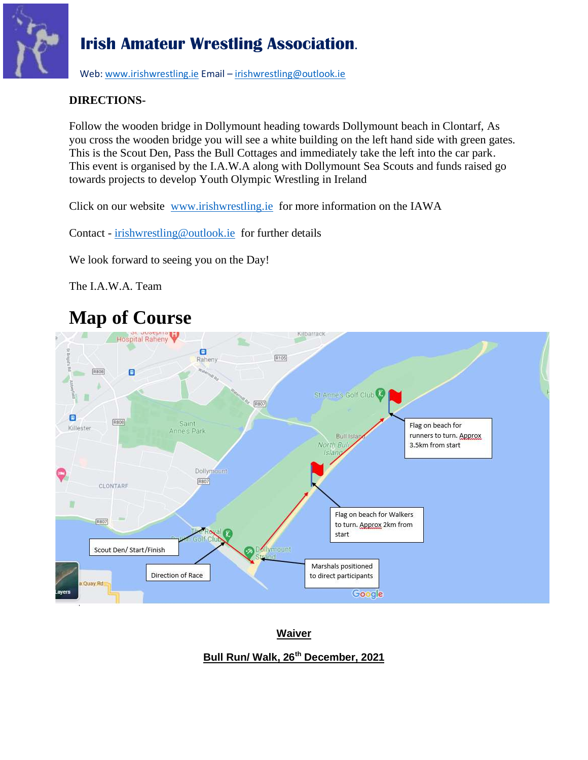

Web[: www.irishwrestling.ie](http://www.irishwrestling.ie/) Email - [irishwrestling@outlook.ie](mailto:irishwrestling@outlook.ie)

#### **DIRECTIONS-**

Follow the wooden bridge in Dollymount heading towards Dollymount beach in Clontarf, As you cross the wooden bridge you will see a white building on the left hand side with green gates. This is the Scout Den, Pass the Bull Cottages and immediately take the left into the car park. This event is organised by the I.A.W.A along with Dollymount Sea Scouts and funds raised go towards projects to develop Youth Olympic Wrestling in Ireland

Click on our website [www.irishwrestling.ie](http://www.irishwrestling.ie/) for more information on the IAWA

Contact - [irishwrestling@outlook.ie](mailto:irishwrestling@outlook.ie) for further details

We look forward to seeing you on the Day!

The I.A.W.A. Team

# **Map of Course**



**Waiver**

### **Bull Run/ Walk, 26th December, 2021**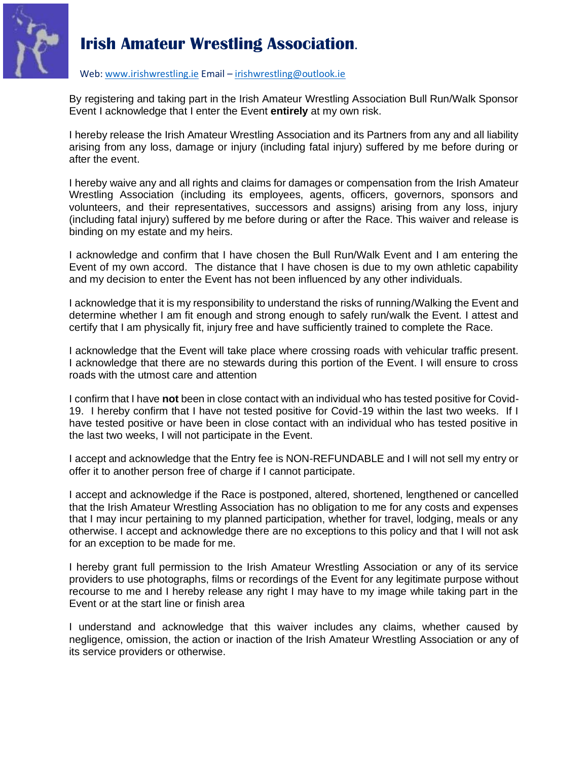

#### Web[: www.irishwrestling.ie](http://www.irishwrestling.ie/) Email – [irishwrestling@outlook.ie](mailto:irishwrestling@outlook.ie)

By registering and taking part in the Irish Amateur Wrestling Association Bull Run/Walk Sponsor Event I acknowledge that I enter the Event **entirely** at my own risk.

I hereby release the Irish Amateur Wrestling Association and its Partners from any and all liability arising from any loss, damage or injury (including fatal injury) suffered by me before during or after the event.

I hereby waive any and all rights and claims for damages or compensation from the Irish Amateur Wrestling Association (including its employees, agents, officers, governors, sponsors and volunteers, and their representatives, successors and assigns) arising from any loss, injury (including fatal injury) suffered by me before during or after the Race. This waiver and release is binding on my estate and my heirs.

I acknowledge and confirm that I have chosen the Bull Run/Walk Event and I am entering the Event of my own accord. The distance that I have chosen is due to my own athletic capability and my decision to enter the Event has not been influenced by any other individuals.

I acknowledge that it is my responsibility to understand the risks of running/Walking the Event and determine whether I am fit enough and strong enough to safely run/walk the Event. I attest and certify that I am physically fit, injury free and have sufficiently trained to complete the Race.

I acknowledge that the Event will take place where crossing roads with vehicular traffic present. I acknowledge that there are no stewards during this portion of the Event. I will ensure to cross roads with the utmost care and attention

I confirm that I have **not** been in close contact with an individual who has tested positive for Covid-19. I hereby confirm that I have not tested positive for Covid-19 within the last two weeks. If I have tested positive or have been in close contact with an individual who has tested positive in the last two weeks, I will not participate in the Event.

I accept and acknowledge that the Entry fee is NON-REFUNDABLE and I will not sell my entry or offer it to another person free of charge if I cannot participate.

I accept and acknowledge if the Race is postponed, altered, shortened, lengthened or cancelled that the Irish Amateur Wrestling Association has no obligation to me for any costs and expenses that I may incur pertaining to my planned participation, whether for travel, lodging, meals or any otherwise. I accept and acknowledge there are no exceptions to this policy and that I will not ask for an exception to be made for me.

I hereby grant full permission to the Irish Amateur Wrestling Association or any of its service providers to use photographs, films or recordings of the Event for any legitimate purpose without recourse to me and I hereby release any right I may have to my image while taking part in the Event or at the start line or finish area

I understand and acknowledge that this waiver includes any claims, whether caused by negligence, omission, the action or inaction of the Irish Amateur Wrestling Association or any of its service providers or otherwise.